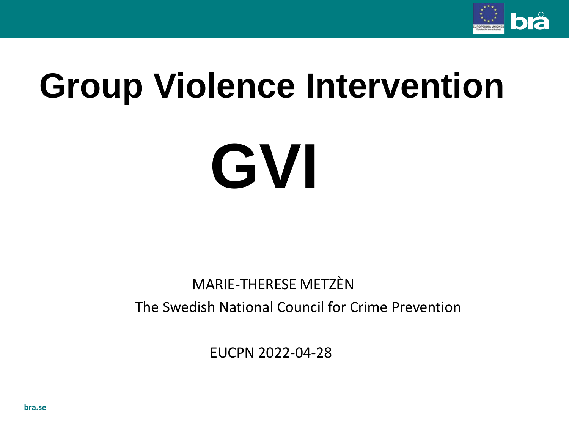

## **Group Violence Intervention**

# **GVI**

#### MARIE-THERESE METZÈN The Swedish National Council for Crime Prevention

EUCPN 2022-04-28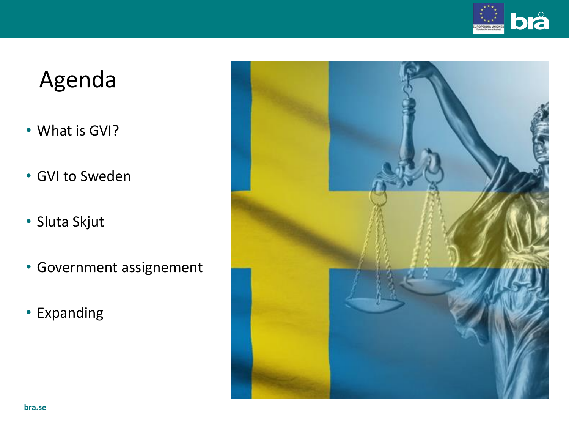

## Agenda

- What is GVI?
- GVI to Sweden
- Sluta Skjut
- Government assignement
- Expanding

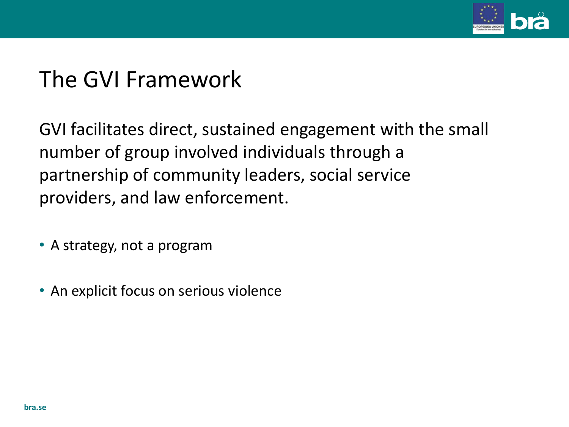

## The GVI Framework

GVI facilitates direct, sustained engagement with the small number of group involved individuals through a partnership of community leaders, social service providers, and law enforcement.

- A strategy, not a program
- An explicit focus on serious violence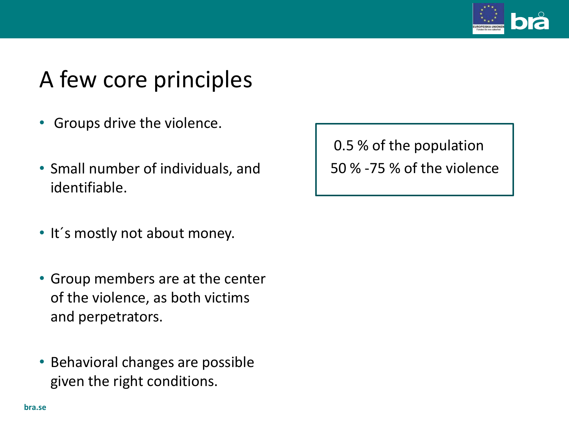

## A few core principles

- Groups drive the violence.
- Small number of individuals, and identifiable.
- It´s mostly not about money.
- Group members are at the center of the violence, as both victims and perpetrators.
- Behavioral changes are possible given the right conditions.

0.5 % of the population 50 % -75 % of the violence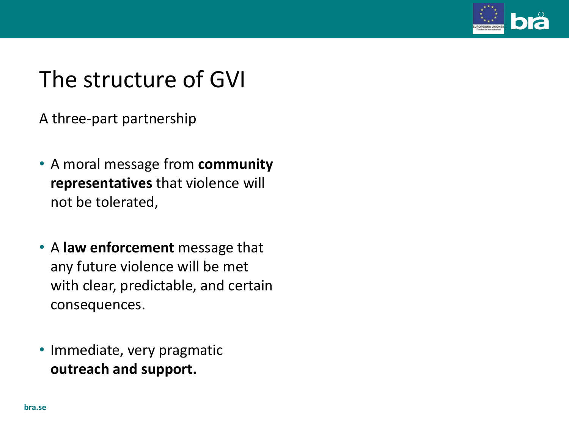

## The structure of GVI

A three-part partnership

- A moral message from **community representatives** that violence will not be tolerated,
- A **law enforcement** message that any future violence will be met with clear, predictable, and certain consequences.
- Immediate, very pragmatic **outreach and support.**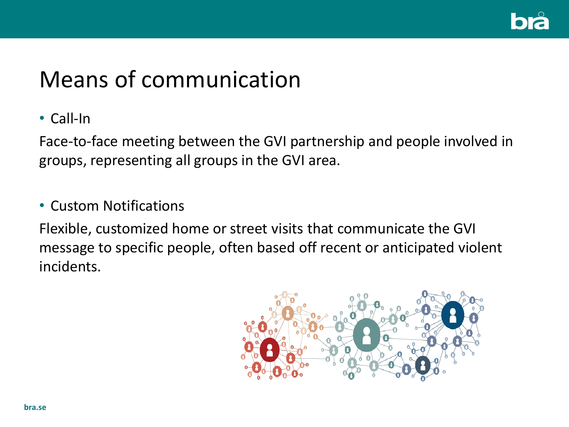

## Means of communication

#### • Call-In

Face-to-face meeting between the GVI partnership and people involved in groups, representing all groups in the GVI area.

#### • Custom Notifications

Flexible, customized home or street visits that communicate the GVI message to specific people, often based off recent or anticipated violent incidents.

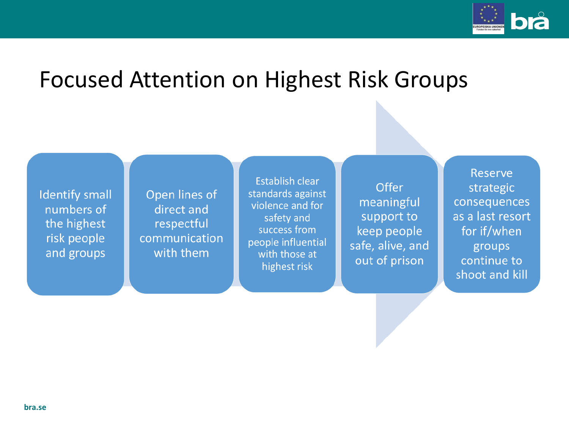

## Focused Attention on Highest Risk Groups

**Identify small** numbers of the highest risk people and groups

Open lines of direct and respectful communication with them

**Establish clear** standards against violence and for safety and success from people influential with those at highest risk

Offer meaningful support to keep people safe, alive, and out of prison

**Reserve** strategic consequences as a last resort for if/when groups continue to shoot and kill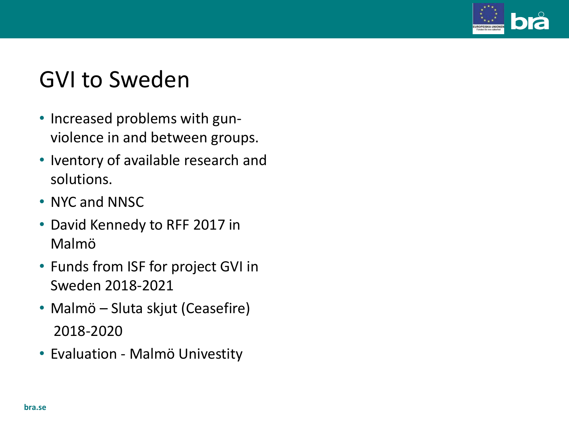

## GVI to Sweden

- Increased problems with gunviolence in and between groups.
- Iventory of available research and solutions.
- NYC and NNSC
- David Kennedy to RFF 2017 in Malmö
- Funds from ISF for project GVI in Sweden 2018-2021
- Malmö Sluta skjut (Ceasefire) 2018-2020
- Evaluation Malmö Univestity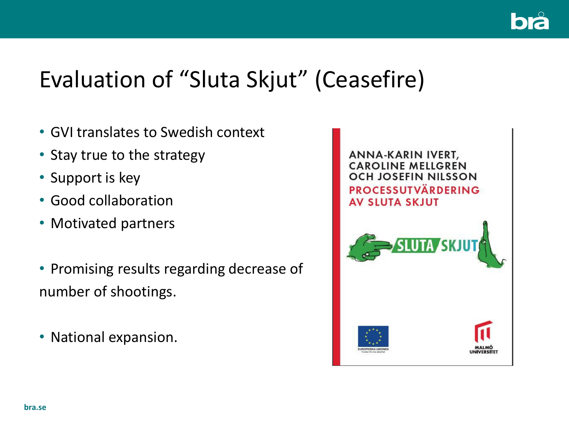

## Evaluation of "Sluta Skjut" (Ceasefire)

- GVI translates to Swedish context
- Stay true to the strategy
- Support is key
- Good collaboration
- Motivated partners
- Promising results regarding decrease of number of shootings.
- National expansion.

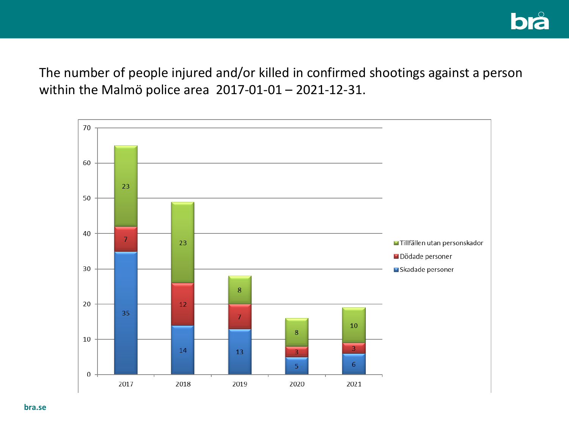The number of people injured and/or killed in confirmed shootings against a person within the Malmö police area 2017-01-01 – 2021-12-31.

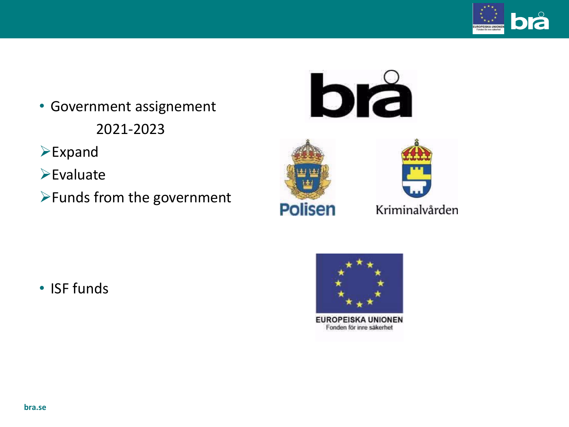

- Government assignement 2021-2023
- ➢Expand
- ➢Evaluate
- ➢Funds from the government







• ISF funds



**EUROPEISKA UNIONEN** Fonden för inre säkerhet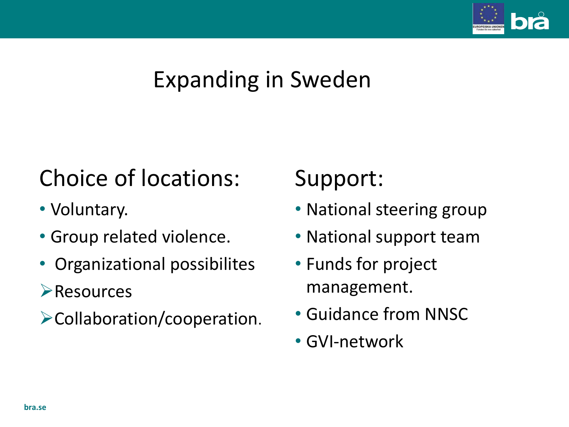

## Expanding in Sweden

## Choice of locations:

- Voluntary.
- Group related violence.
- Organizational possibilites
- ➢Resources
- ➢Collaboration/cooperation.

## Support:

- National steering group
- National support team
- Funds for project management.
- Guidance from NNSC
- GVI-network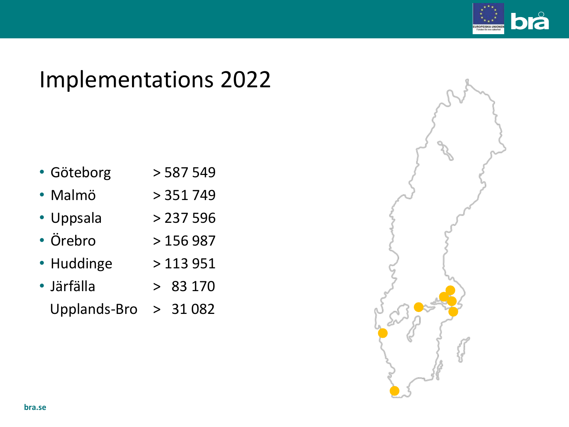

## Implementations 2022

- Göteborg > 587 549
- Malmö > 351 749
- Uppsala > 237 596
- Örebro > 156 987
- Huddinge > 113 951
- Järfälla > 83 170
	- Upplands-Bro > 31 082